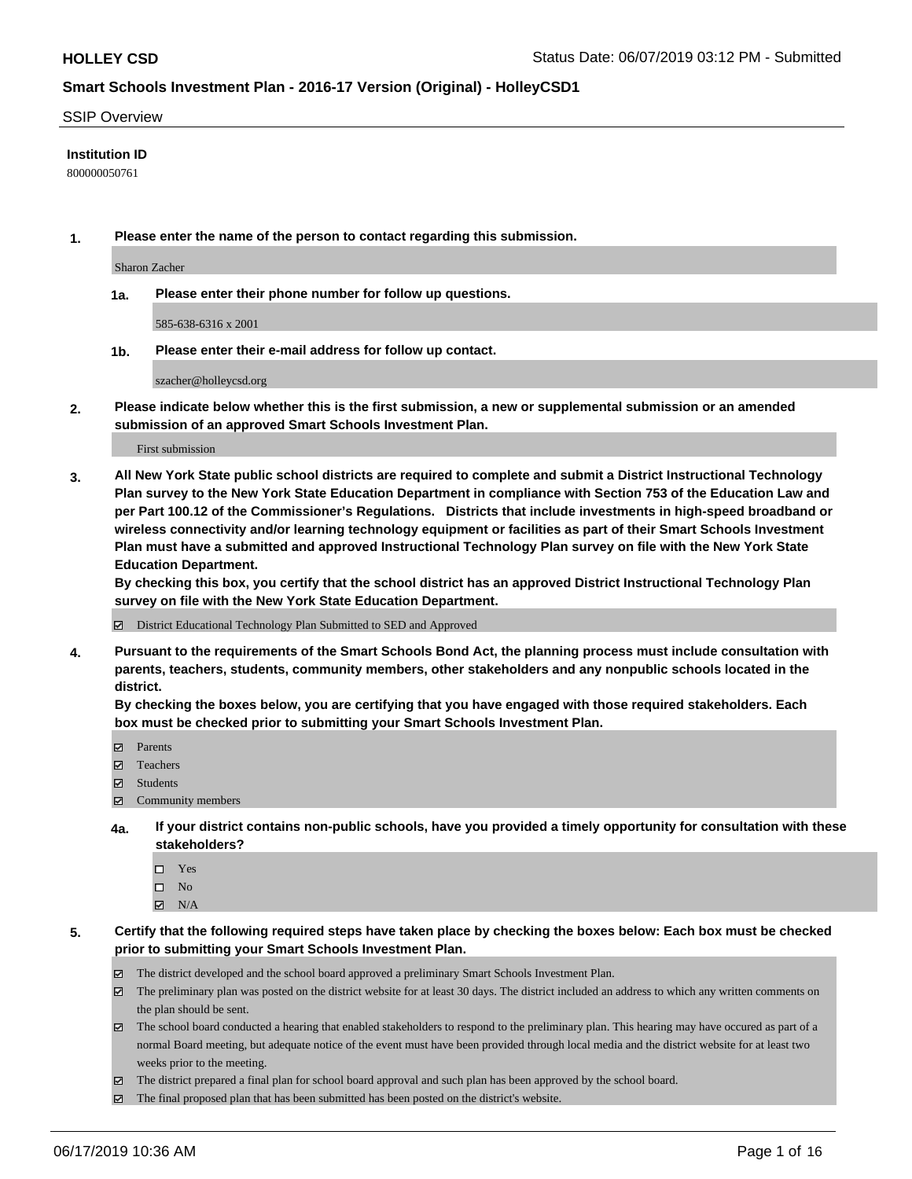#### SSIP Overview

#### **Institution ID**

800000050761

**1. Please enter the name of the person to contact regarding this submission.**

Sharon Zacher

**1a. Please enter their phone number for follow up questions.**

585-638-6316 x 2001

**1b. Please enter their e-mail address for follow up contact.**

szacher@holleycsd.org

**2. Please indicate below whether this is the first submission, a new or supplemental submission or an amended submission of an approved Smart Schools Investment Plan.**

First submission

**3. All New York State public school districts are required to complete and submit a District Instructional Technology Plan survey to the New York State Education Department in compliance with Section 753 of the Education Law and per Part 100.12 of the Commissioner's Regulations. Districts that include investments in high-speed broadband or wireless connectivity and/or learning technology equipment or facilities as part of their Smart Schools Investment Plan must have a submitted and approved Instructional Technology Plan survey on file with the New York State Education Department.** 

**By checking this box, you certify that the school district has an approved District Instructional Technology Plan survey on file with the New York State Education Department.**

District Educational Technology Plan Submitted to SED and Approved

**4. Pursuant to the requirements of the Smart Schools Bond Act, the planning process must include consultation with parents, teachers, students, community members, other stakeholders and any nonpublic schools located in the district.** 

**By checking the boxes below, you are certifying that you have engaged with those required stakeholders. Each box must be checked prior to submitting your Smart Schools Investment Plan.**

- Parents
- Teachers
- Students
- Community members
- **4a. If your district contains non-public schools, have you provided a timely opportunity for consultation with these stakeholders?**
	- □ Yes
	- $\square$  No
	- $N/A$
- **5. Certify that the following required steps have taken place by checking the boxes below: Each box must be checked prior to submitting your Smart Schools Investment Plan.**
	- The district developed and the school board approved a preliminary Smart Schools Investment Plan.
	- $\boxtimes$  The preliminary plan was posted on the district website for at least 30 days. The district included an address to which any written comments on the plan should be sent.
	- $\boxtimes$  The school board conducted a hearing that enabled stakeholders to respond to the preliminary plan. This hearing may have occured as part of a normal Board meeting, but adequate notice of the event must have been provided through local media and the district website for at least two weeks prior to the meeting.
	- The district prepared a final plan for school board approval and such plan has been approved by the school board.
	- $\boxtimes$  The final proposed plan that has been submitted has been posted on the district's website.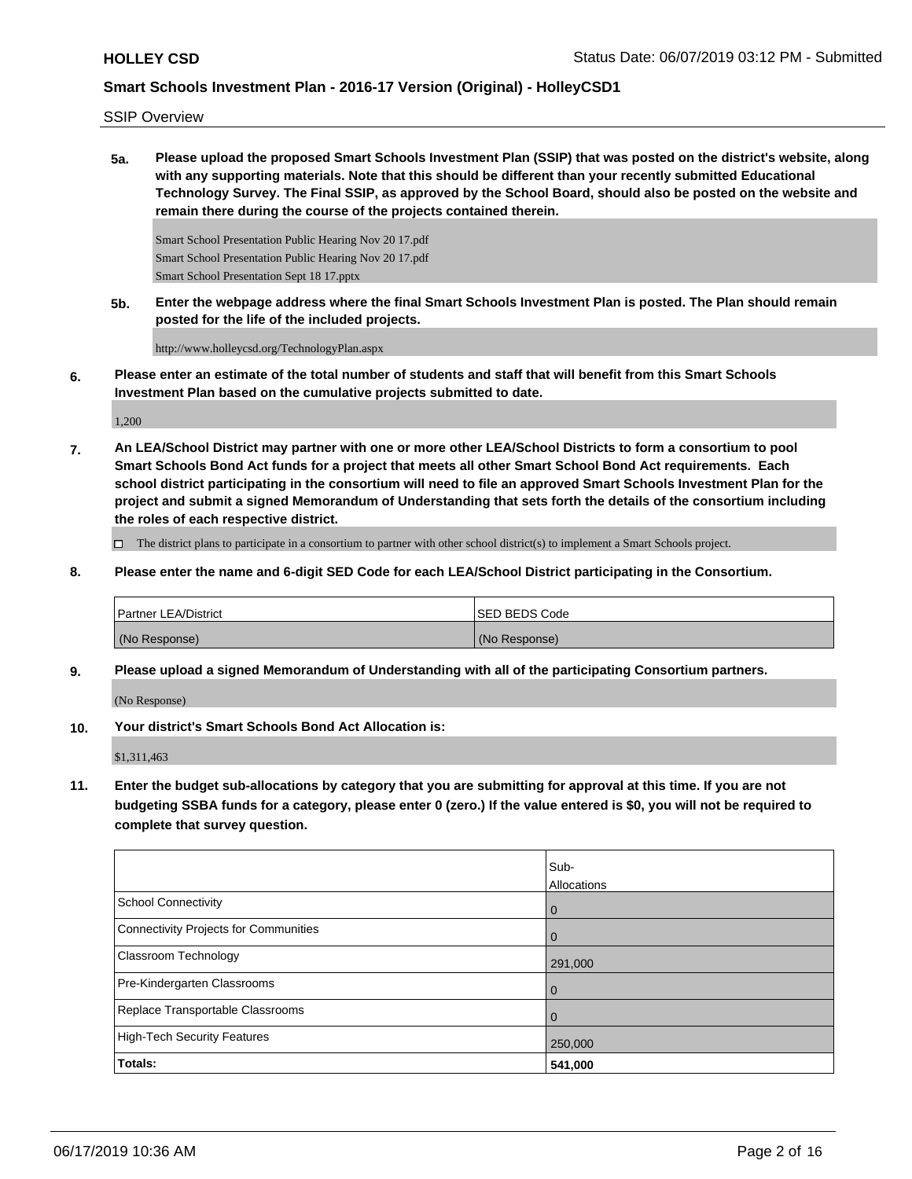SSIP Overview

**5a. Please upload the proposed Smart Schools Investment Plan (SSIP) that was posted on the district's website, along with any supporting materials. Note that this should be different than your recently submitted Educational Technology Survey. The Final SSIP, as approved by the School Board, should also be posted on the website and remain there during the course of the projects contained therein.**

Smart School Presentation Public Hearing Nov 20 17.pdf Smart School Presentation Public Hearing Nov 20 17.pdf Smart School Presentation Sept 18 17.pptx

**5b. Enter the webpage address where the final Smart Schools Investment Plan is posted. The Plan should remain posted for the life of the included projects.**

http://www.holleycsd.org/TechnologyPlan.aspx

**6. Please enter an estimate of the total number of students and staff that will benefit from this Smart Schools Investment Plan based on the cumulative projects submitted to date.**

1,200

**7. An LEA/School District may partner with one or more other LEA/School Districts to form a consortium to pool Smart Schools Bond Act funds for a project that meets all other Smart School Bond Act requirements. Each school district participating in the consortium will need to file an approved Smart Schools Investment Plan for the project and submit a signed Memorandum of Understanding that sets forth the details of the consortium including the roles of each respective district.**

 $\Box$  The district plans to participate in a consortium to partner with other school district(s) to implement a Smart Schools project.

**8. Please enter the name and 6-digit SED Code for each LEA/School District participating in the Consortium.**

| <b>Partner LEA/District</b> | <b>ISED BEDS Code</b> |
|-----------------------------|-----------------------|
| (No Response)               | (No Response)         |

**9. Please upload a signed Memorandum of Understanding with all of the participating Consortium partners.**

(No Response)

**10. Your district's Smart Schools Bond Act Allocation is:**

\$1,311,463

**11. Enter the budget sub-allocations by category that you are submitting for approval at this time. If you are not budgeting SSBA funds for a category, please enter 0 (zero.) If the value entered is \$0, you will not be required to complete that survey question.**

|                                       | Sub-<br>Allocations |
|---------------------------------------|---------------------|
| School Connectivity                   | $\overline{0}$      |
| Connectivity Projects for Communities | $\overline{0}$      |
| <b>Classroom Technology</b>           | 291,000             |
| Pre-Kindergarten Classrooms           | $\overline{0}$      |
| Replace Transportable Classrooms      | $\Omega$            |
| High-Tech Security Features           | 250,000             |
| Totals:                               | 541,000             |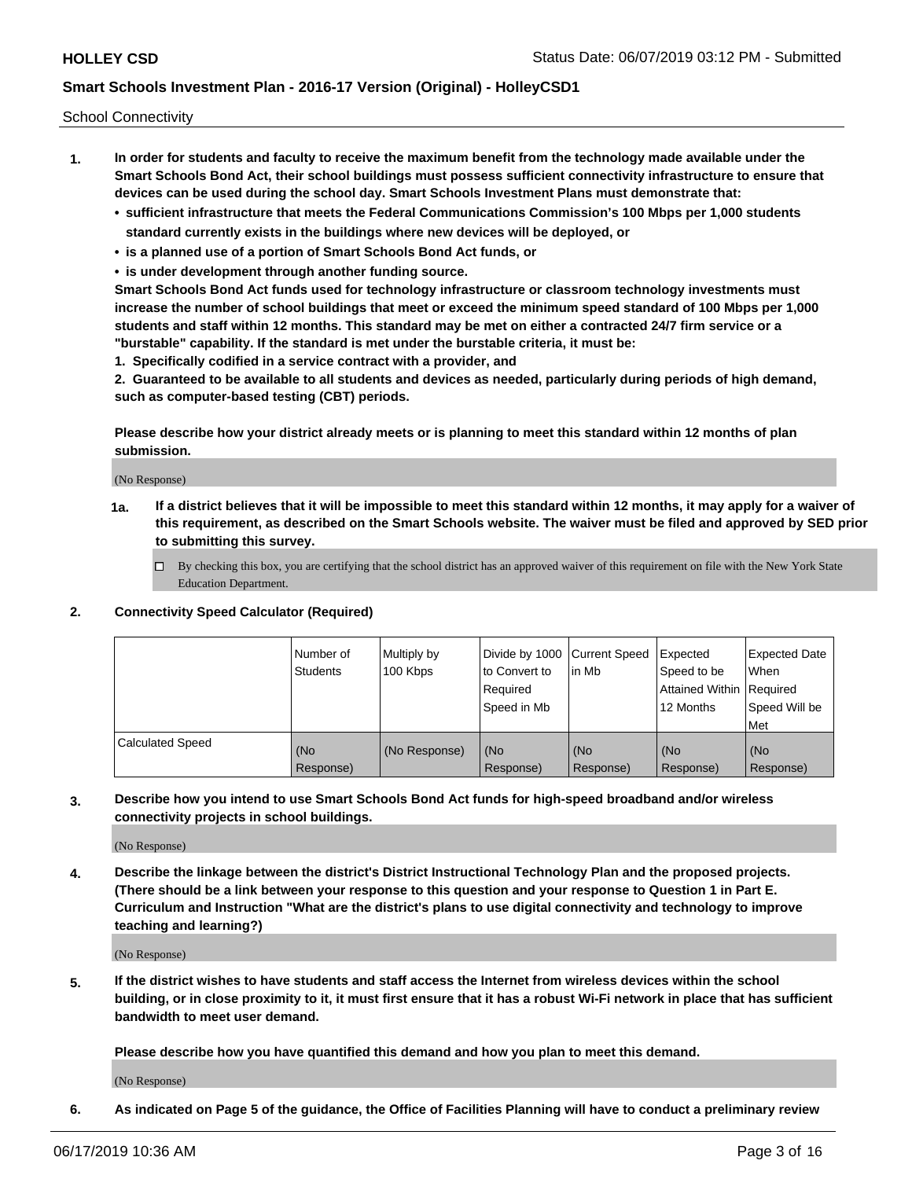School Connectivity

- **1. In order for students and faculty to receive the maximum benefit from the technology made available under the Smart Schools Bond Act, their school buildings must possess sufficient connectivity infrastructure to ensure that devices can be used during the school day. Smart Schools Investment Plans must demonstrate that:**
	- **• sufficient infrastructure that meets the Federal Communications Commission's 100 Mbps per 1,000 students standard currently exists in the buildings where new devices will be deployed, or**
	- **• is a planned use of a portion of Smart Schools Bond Act funds, or**
	- **• is under development through another funding source.**

**Smart Schools Bond Act funds used for technology infrastructure or classroom technology investments must increase the number of school buildings that meet or exceed the minimum speed standard of 100 Mbps per 1,000 students and staff within 12 months. This standard may be met on either a contracted 24/7 firm service or a "burstable" capability. If the standard is met under the burstable criteria, it must be:**

**1. Specifically codified in a service contract with a provider, and**

**2. Guaranteed to be available to all students and devices as needed, particularly during periods of high demand, such as computer-based testing (CBT) periods.**

**Please describe how your district already meets or is planning to meet this standard within 12 months of plan submission.**

(No Response)

**1a. If a district believes that it will be impossible to meet this standard within 12 months, it may apply for a waiver of this requirement, as described on the Smart Schools website. The waiver must be filed and approved by SED prior to submitting this survey.**

 $\Box$  By checking this box, you are certifying that the school district has an approved waiver of this requirement on file with the New York State Education Department.

### **2. Connectivity Speed Calculator (Required)**

|                         | l Number of<br>Students | Multiply by<br>100 Kbps | Divide by 1000 Current Speed<br>to Convert to<br>Required<br>l Speed in Mb | lin Mb           | Expected<br>Speed to be<br>Attained Within   Required<br>12 Months | <b>Expected Date</b><br>When<br>Speed Will be<br>Met |
|-------------------------|-------------------------|-------------------------|----------------------------------------------------------------------------|------------------|--------------------------------------------------------------------|------------------------------------------------------|
| <b>Calculated Speed</b> | (No<br>Response)        | (No Response)           | (No<br>Response)                                                           | (No<br>Response) | (No<br>Response)                                                   | (No<br>Response)                                     |

**3. Describe how you intend to use Smart Schools Bond Act funds for high-speed broadband and/or wireless connectivity projects in school buildings.**

(No Response)

**4. Describe the linkage between the district's District Instructional Technology Plan and the proposed projects. (There should be a link between your response to this question and your response to Question 1 in Part E. Curriculum and Instruction "What are the district's plans to use digital connectivity and technology to improve teaching and learning?)**

(No Response)

**5. If the district wishes to have students and staff access the Internet from wireless devices within the school building, or in close proximity to it, it must first ensure that it has a robust Wi-Fi network in place that has sufficient bandwidth to meet user demand.**

**Please describe how you have quantified this demand and how you plan to meet this demand.**

(No Response)

**6. As indicated on Page 5 of the guidance, the Office of Facilities Planning will have to conduct a preliminary review**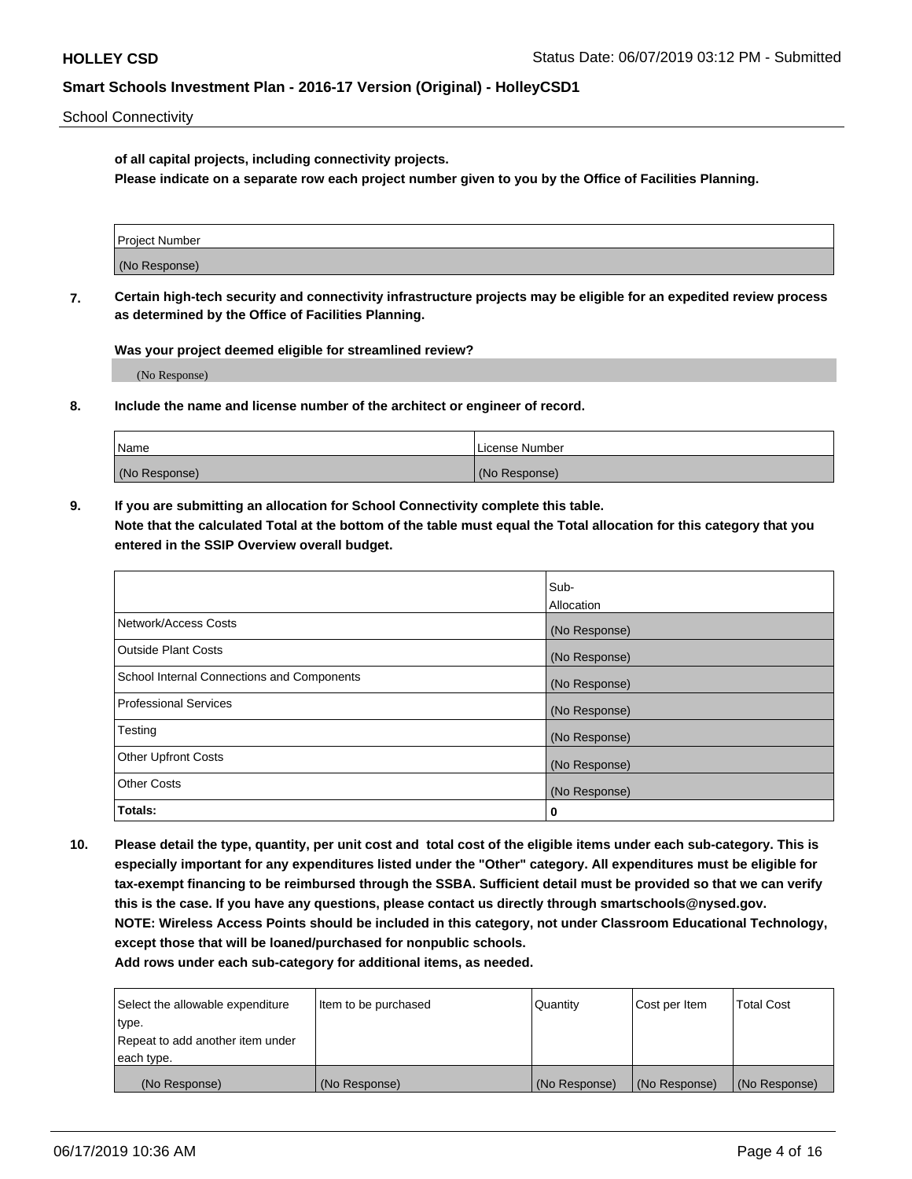School Connectivity

**of all capital projects, including connectivity projects.**

**Please indicate on a separate row each project number given to you by the Office of Facilities Planning.**

| Project Number |  |
|----------------|--|
|                |  |
|                |  |
|                |  |
| (No Response)  |  |
|                |  |
|                |  |
|                |  |

**7. Certain high-tech security and connectivity infrastructure projects may be eligible for an expedited review process as determined by the Office of Facilities Planning.**

**Was your project deemed eligible for streamlined review?**

(No Response)

**8. Include the name and license number of the architect or engineer of record.**

| Name          | License Number |
|---------------|----------------|
| (No Response) | (No Response)  |

**9. If you are submitting an allocation for School Connectivity complete this table. Note that the calculated Total at the bottom of the table must equal the Total allocation for this category that you entered in the SSIP Overview overall budget.** 

|                                            | Sub-              |
|--------------------------------------------|-------------------|
|                                            | <b>Allocation</b> |
| Network/Access Costs                       | (No Response)     |
| <b>Outside Plant Costs</b>                 | (No Response)     |
| School Internal Connections and Components | (No Response)     |
| <b>Professional Services</b>               | (No Response)     |
| Testing                                    | (No Response)     |
| <b>Other Upfront Costs</b>                 | (No Response)     |
| <b>Other Costs</b>                         | (No Response)     |
| Totals:                                    | 0                 |

**10. Please detail the type, quantity, per unit cost and total cost of the eligible items under each sub-category. This is especially important for any expenditures listed under the "Other" category. All expenditures must be eligible for tax-exempt financing to be reimbursed through the SSBA. Sufficient detail must be provided so that we can verify this is the case. If you have any questions, please contact us directly through smartschools@nysed.gov. NOTE: Wireless Access Points should be included in this category, not under Classroom Educational Technology, except those that will be loaned/purchased for nonpublic schools.**

| Select the allowable expenditure | Item to be purchased | Quantity      | Cost per Item | <b>Total Cost</b> |
|----------------------------------|----------------------|---------------|---------------|-------------------|
| type.                            |                      |               |               |                   |
| Repeat to add another item under |                      |               |               |                   |
| each type.                       |                      |               |               |                   |
| (No Response)                    | (No Response)        | (No Response) | (No Response) | (No Response)     |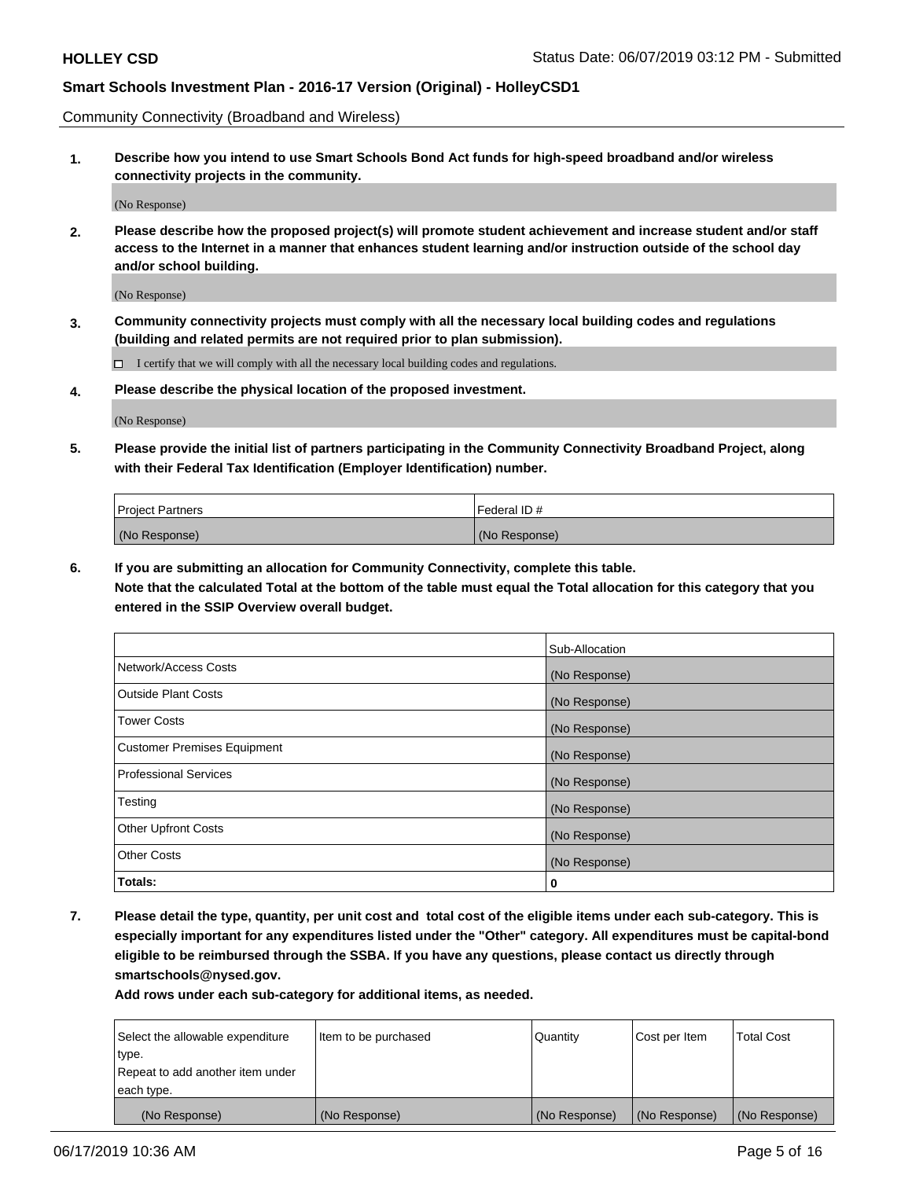Community Connectivity (Broadband and Wireless)

**1. Describe how you intend to use Smart Schools Bond Act funds for high-speed broadband and/or wireless connectivity projects in the community.**

(No Response)

**2. Please describe how the proposed project(s) will promote student achievement and increase student and/or staff access to the Internet in a manner that enhances student learning and/or instruction outside of the school day and/or school building.**

(No Response)

**3. Community connectivity projects must comply with all the necessary local building codes and regulations (building and related permits are not required prior to plan submission).**

 $\Box$  I certify that we will comply with all the necessary local building codes and regulations.

**4. Please describe the physical location of the proposed investment.**

(No Response)

**5. Please provide the initial list of partners participating in the Community Connectivity Broadband Project, along with their Federal Tax Identification (Employer Identification) number.**

| <b>Project Partners</b> | Federal ID#   |
|-------------------------|---------------|
| (No Response)           | (No Response) |

**6. If you are submitting an allocation for Community Connectivity, complete this table.**

**Note that the calculated Total at the bottom of the table must equal the Total allocation for this category that you entered in the SSIP Overview overall budget.**

|                                    | Sub-Allocation |
|------------------------------------|----------------|
| Network/Access Costs               | (No Response)  |
| <b>Outside Plant Costs</b>         | (No Response)  |
| <b>Tower Costs</b>                 | (No Response)  |
| <b>Customer Premises Equipment</b> | (No Response)  |
| <b>Professional Services</b>       | (No Response)  |
| Testing                            | (No Response)  |
| <b>Other Upfront Costs</b>         | (No Response)  |
| <b>Other Costs</b>                 | (No Response)  |
| Totals:                            | 0              |

**7. Please detail the type, quantity, per unit cost and total cost of the eligible items under each sub-category. This is especially important for any expenditures listed under the "Other" category. All expenditures must be capital-bond eligible to be reimbursed through the SSBA. If you have any questions, please contact us directly through smartschools@nysed.gov.**

| Select the allowable expenditure | Item to be purchased | Quantity      | Cost per Item | <b>Total Cost</b> |
|----------------------------------|----------------------|---------------|---------------|-------------------|
| type.                            |                      |               |               |                   |
| Repeat to add another item under |                      |               |               |                   |
| each type.                       |                      |               |               |                   |
| (No Response)                    | (No Response)        | (No Response) | (No Response) | (No Response)     |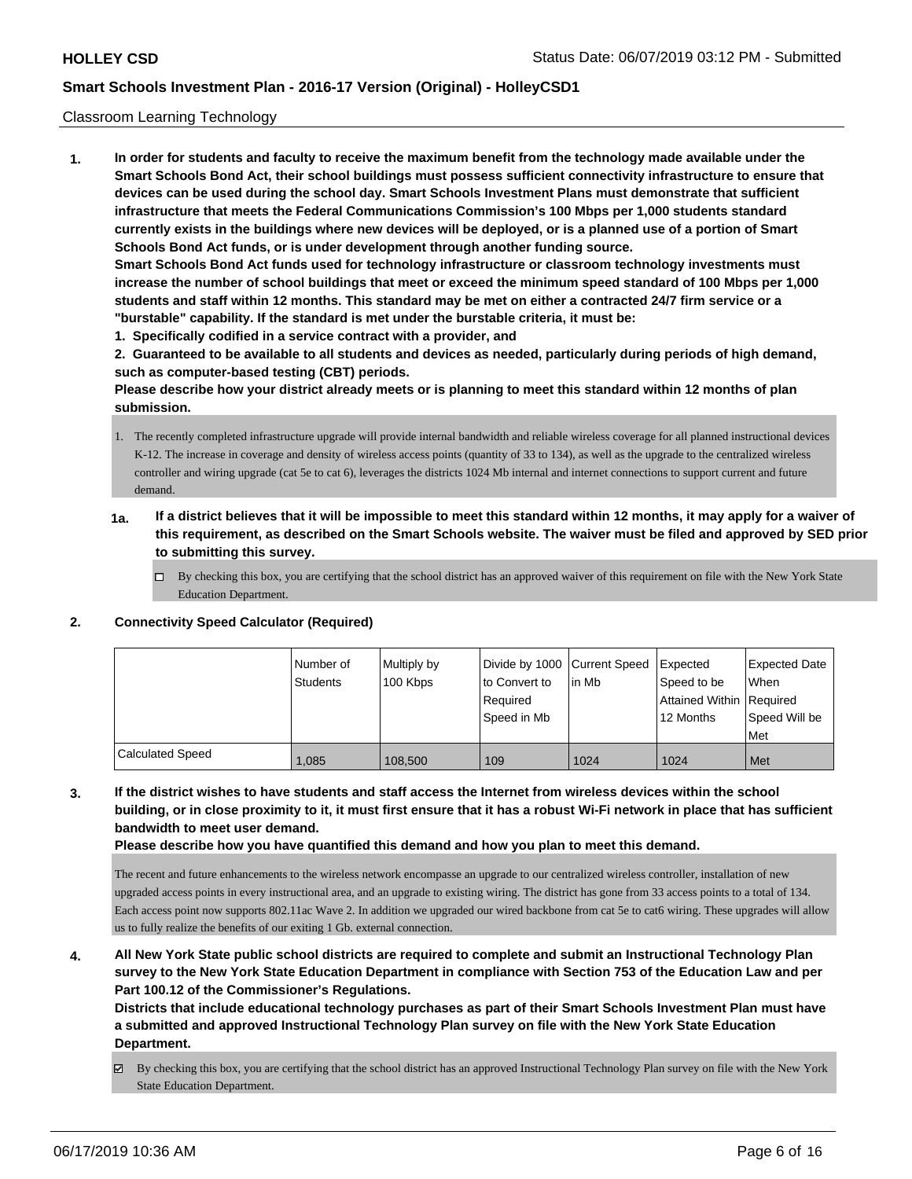#### Classroom Learning Technology

**1. In order for students and faculty to receive the maximum benefit from the technology made available under the Smart Schools Bond Act, their school buildings must possess sufficient connectivity infrastructure to ensure that devices can be used during the school day. Smart Schools Investment Plans must demonstrate that sufficient infrastructure that meets the Federal Communications Commission's 100 Mbps per 1,000 students standard currently exists in the buildings where new devices will be deployed, or is a planned use of a portion of Smart Schools Bond Act funds, or is under development through another funding source. Smart Schools Bond Act funds used for technology infrastructure or classroom technology investments must increase the number of school buildings that meet or exceed the minimum speed standard of 100 Mbps per 1,000 students and staff within 12 months. This standard may be met on either a contracted 24/7 firm service or a "burstable" capability. If the standard is met under the burstable criteria, it must be: 1. Specifically codified in a service contract with a provider, and**

**2. Guaranteed to be available to all students and devices as needed, particularly during periods of high demand, such as computer-based testing (CBT) periods.**

**Please describe how your district already meets or is planning to meet this standard within 12 months of plan submission.**

1. The recently completed infrastructure upgrade will provide internal bandwidth and reliable wireless coverage for all planned instructional devices K-12. The increase in coverage and density of wireless access points (quantity of 33 to 134), as well as the upgrade to the centralized wireless controller and wiring upgrade (cat 5e to cat 6), leverages the districts 1024 Mb internal and internet connections to support current and future demand.

- **1a. If a district believes that it will be impossible to meet this standard within 12 months, it may apply for a waiver of this requirement, as described on the Smart Schools website. The waiver must be filed and approved by SED prior to submitting this survey.**
	- □ By checking this box, you are certifying that the school district has an approved waiver of this requirement on file with the New York State Education Department.

### **2. Connectivity Speed Calculator (Required)**

|                         | Number of<br><b>Students</b> | Multiply by<br>100 Kbps | Divide by 1000 Current Speed<br>to Convert to<br>l Reauired<br>Speed in Mb | lin Mb | Expected<br>Speed to be<br>Attained Within   Required<br>12 Months | <b>Expected Date</b><br>When<br>Speed Will be<br>Met |
|-------------------------|------------------------------|-------------------------|----------------------------------------------------------------------------|--------|--------------------------------------------------------------------|------------------------------------------------------|
| <b>Calculated Speed</b> | 1.085                        | 108,500                 | 109                                                                        | 1024   | 1024                                                               | Met                                                  |

**3. If the district wishes to have students and staff access the Internet from wireless devices within the school building, or in close proximity to it, it must first ensure that it has a robust Wi-Fi network in place that has sufficient bandwidth to meet user demand.**

**Please describe how you have quantified this demand and how you plan to meet this demand.**

The recent and future enhancements to the wireless network encompasse an upgrade to our centralized wireless controller, installation of new upgraded access points in every instructional area, and an upgrade to existing wiring. The district has gone from 33 access points to a total of 134. Each access point now supports 802.11ac Wave 2. In addition we upgraded our wired backbone from cat 5e to cat6 wiring. These upgrades will allow us to fully realize the benefits of our exiting 1 Gb. external connection.

**4. All New York State public school districts are required to complete and submit an Instructional Technology Plan survey to the New York State Education Department in compliance with Section 753 of the Education Law and per Part 100.12 of the Commissioner's Regulations.**

**Districts that include educational technology purchases as part of their Smart Schools Investment Plan must have a submitted and approved Instructional Technology Plan survey on file with the New York State Education Department.**

By checking this box, you are certifying that the school district has an approved Instructional Technology Plan survey on file with the New York State Education Department.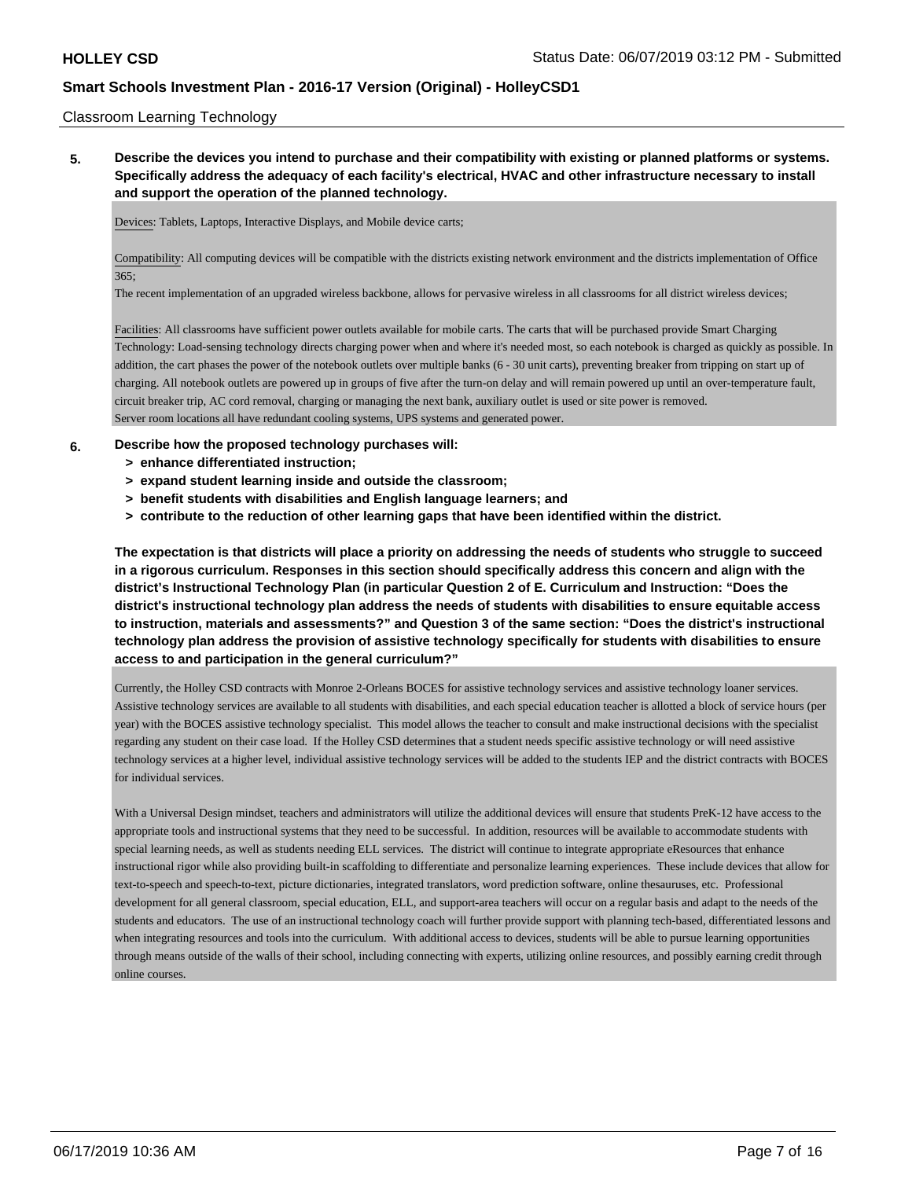#### Classroom Learning Technology

**5. Describe the devices you intend to purchase and their compatibility with existing or planned platforms or systems. Specifically address the adequacy of each facility's electrical, HVAC and other infrastructure necessary to install and support the operation of the planned technology.**

Devices: Tablets, Laptops, Interactive Displays, and Mobile device carts;

Compatibility: All computing devices will be compatible with the districts existing network environment and the districts implementation of Office 365;

The recent implementation of an upgraded wireless backbone, allows for pervasive wireless in all classrooms for all district wireless devices;

Facilities: All classrooms have sufficient power outlets available for mobile carts. The carts that will be purchased provide Smart Charging Technology: Load-sensing technology directs charging power when and where it's needed most, so each notebook is charged as quickly as possible. In addition, the cart phases the power of the notebook outlets over multiple banks (6 - 30 unit carts), preventing breaker from tripping on start up of charging. All notebook outlets are powered up in groups of five after the turn-on delay and will remain powered up until an over-temperature fault, circuit breaker trip, AC cord removal, charging or managing the next bank, auxiliary outlet is used or site power is removed. Server room locations all have redundant cooling systems, UPS systems and generated power.

#### **6. Describe how the proposed technology purchases will:**

- **> enhance differentiated instruction;**
- **> expand student learning inside and outside the classroom;**
- **> benefit students with disabilities and English language learners; and**
- **> contribute to the reduction of other learning gaps that have been identified within the district.**

**The expectation is that districts will place a priority on addressing the needs of students who struggle to succeed in a rigorous curriculum. Responses in this section should specifically address this concern and align with the district's Instructional Technology Plan (in particular Question 2 of E. Curriculum and Instruction: "Does the district's instructional technology plan address the needs of students with disabilities to ensure equitable access to instruction, materials and assessments?" and Question 3 of the same section: "Does the district's instructional technology plan address the provision of assistive technology specifically for students with disabilities to ensure access to and participation in the general curriculum?"**

Currently, the Holley CSD contracts with Monroe 2-Orleans BOCES for assistive technology services and assistive technology loaner services. Assistive technology services are available to all students with disabilities, and each special education teacher is allotted a block of service hours (per year) with the BOCES assistive technology specialist. This model allows the teacher to consult and make instructional decisions with the specialist regarding any student on their case load. If the Holley CSD determines that a student needs specific assistive technology or will need assistive technology services at a higher level, individual assistive technology services will be added to the students IEP and the district contracts with BOCES for individual services.

With a Universal Design mindset, teachers and administrators will utilize the additional devices will ensure that students PreK-12 have access to the appropriate tools and instructional systems that they need to be successful. In addition, resources will be available to accommodate students with special learning needs, as well as students needing ELL services. The district will continue to integrate appropriate eResources that enhance instructional rigor while also providing built-in scaffolding to differentiate and personalize learning experiences. These include devices that allow for text-to-speech and speech-to-text, picture dictionaries, integrated translators, word prediction software, online thesauruses, etc. Professional development for all general classroom, special education, ELL, and support-area teachers will occur on a regular basis and adapt to the needs of the students and educators. The use of an instructional technology coach will further provide support with planning tech-based, differentiated lessons and when integrating resources and tools into the curriculum. With additional access to devices, students will be able to pursue learning opportunities through means outside of the walls of their school, including connecting with experts, utilizing online resources, and possibly earning credit through online courses.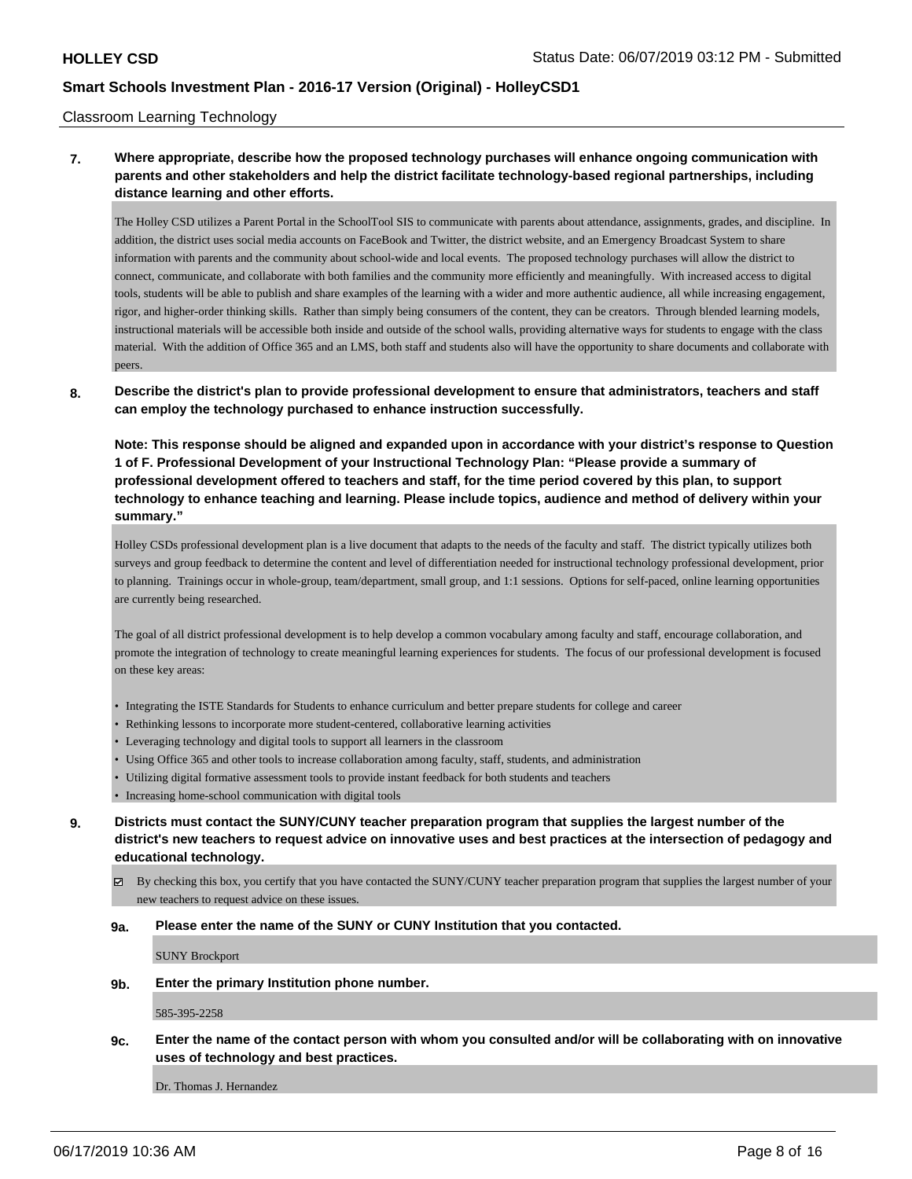#### Classroom Learning Technology

## **7. Where appropriate, describe how the proposed technology purchases will enhance ongoing communication with parents and other stakeholders and help the district facilitate technology-based regional partnerships, including distance learning and other efforts.**

The Holley CSD utilizes a Parent Portal in the SchoolTool SIS to communicate with parents about attendance, assignments, grades, and discipline. In addition, the district uses social media accounts on FaceBook and Twitter, the district website, and an Emergency Broadcast System to share information with parents and the community about school-wide and local events. The proposed technology purchases will allow the district to connect, communicate, and collaborate with both families and the community more efficiently and meaningfully. With increased access to digital tools, students will be able to publish and share examples of the learning with a wider and more authentic audience, all while increasing engagement, rigor, and higher-order thinking skills. Rather than simply being consumers of the content, they can be creators. Through blended learning models, instructional materials will be accessible both inside and outside of the school walls, providing alternative ways for students to engage with the class material. With the addition of Office 365 and an LMS, both staff and students also will have the opportunity to share documents and collaborate with peers.

### **8. Describe the district's plan to provide professional development to ensure that administrators, teachers and staff can employ the technology purchased to enhance instruction successfully.**

**Note: This response should be aligned and expanded upon in accordance with your district's response to Question 1 of F. Professional Development of your Instructional Technology Plan: "Please provide a summary of professional development offered to teachers and staff, for the time period covered by this plan, to support technology to enhance teaching and learning. Please include topics, audience and method of delivery within your summary."**

Holley CSDs professional development plan is a live document that adapts to the needs of the faculty and staff. The district typically utilizes both surveys and group feedback to determine the content and level of differentiation needed for instructional technology professional development, prior to planning. Trainings occur in whole-group, team/department, small group, and 1:1 sessions. Options for self-paced, online learning opportunities are currently being researched.

The goal of all district professional development is to help develop a common vocabulary among faculty and staff, encourage collaboration, and promote the integration of technology to create meaningful learning experiences for students. The focus of our professional development is focused on these key areas:

- Integrating the ISTE Standards for Students to enhance curriculum and better prepare students for college and career
- Rethinking lessons to incorporate more student-centered, collaborative learning activities
- Leveraging technology and digital tools to support all learners in the classroom
- Using Office 365 and other tools to increase collaboration among faculty, staff, students, and administration
- Utilizing digital formative assessment tools to provide instant feedback for both students and teachers
- Increasing home-school communication with digital tools
- **9. Districts must contact the SUNY/CUNY teacher preparation program that supplies the largest number of the district's new teachers to request advice on innovative uses and best practices at the intersection of pedagogy and educational technology.**
	- $\boxtimes$  By checking this box, you certify that you have contacted the SUNY/CUNY teacher preparation program that supplies the largest number of your new teachers to request advice on these issues.

#### **9a. Please enter the name of the SUNY or CUNY Institution that you contacted.**

SUNY Brockport

**9b. Enter the primary Institution phone number.**

585-395-2258

**9c. Enter the name of the contact person with whom you consulted and/or will be collaborating with on innovative uses of technology and best practices.**

Dr. Thomas J. Hernandez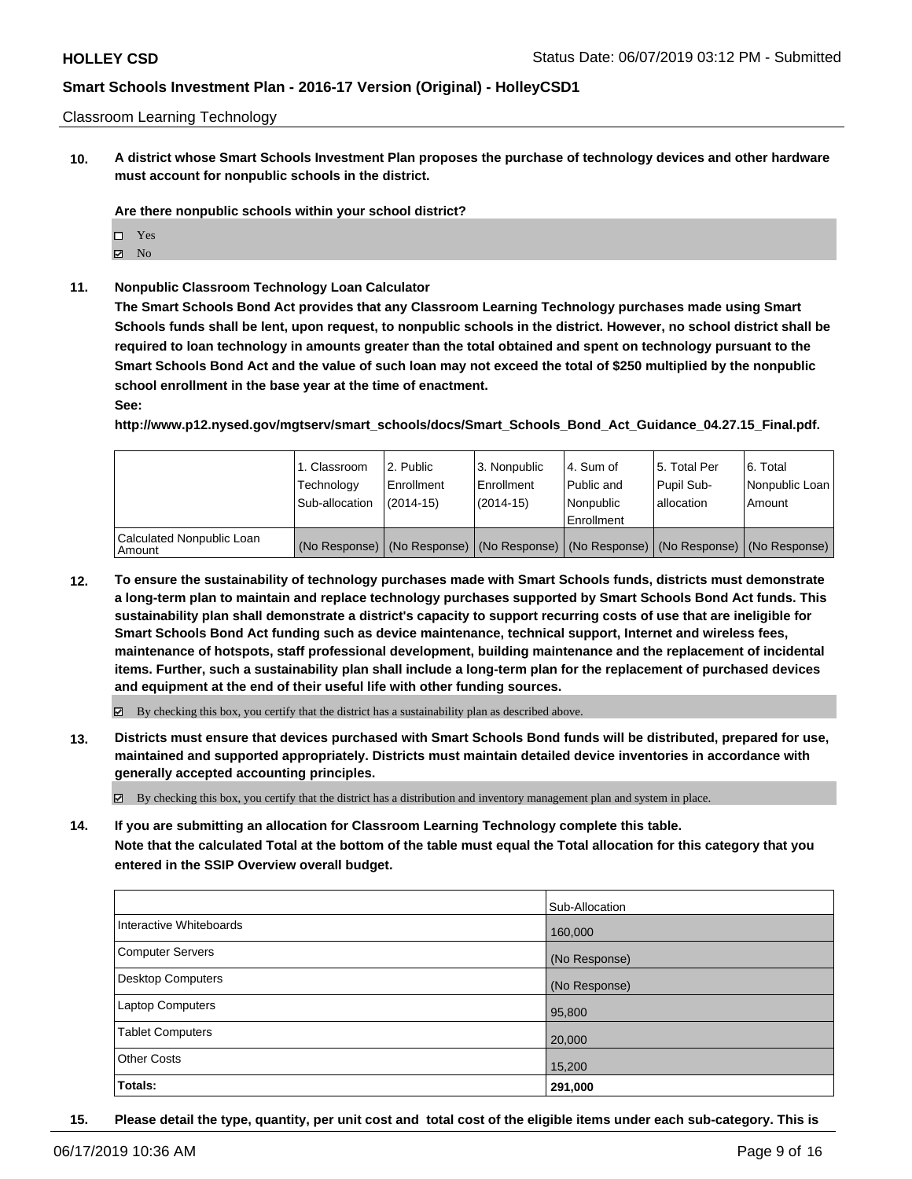#### Classroom Learning Technology

**10. A district whose Smart Schools Investment Plan proposes the purchase of technology devices and other hardware must account for nonpublic schools in the district.**

**Are there nonpublic schools within your school district?**

- □ Yes
- $\boxtimes$  No
- **11. Nonpublic Classroom Technology Loan Calculator**

**The Smart Schools Bond Act provides that any Classroom Learning Technology purchases made using Smart Schools funds shall be lent, upon request, to nonpublic schools in the district. However, no school district shall be required to loan technology in amounts greater than the total obtained and spent on technology pursuant to the Smart Schools Bond Act and the value of such loan may not exceed the total of \$250 multiplied by the nonpublic school enrollment in the base year at the time of enactment.**

**See:**

**http://www.p12.nysed.gov/mgtserv/smart\_schools/docs/Smart\_Schools\_Bond\_Act\_Guidance\_04.27.15\_Final.pdf.**

|                                     | 1. Classroom<br>Technology<br>Sub-allocation | l 2. Public<br>l Enrollment<br>$(2014 - 15)$ | 3. Nonpublic<br>Enrollment<br>$(2014-15)$ | l 4. Sum of<br>Public and<br>Nonpublic<br>Enrollment | 15. Total Per<br>Pupil Sub-<br>lallocation | 6. Total<br>Nonpublic Loan<br>Amount                                                          |
|-------------------------------------|----------------------------------------------|----------------------------------------------|-------------------------------------------|------------------------------------------------------|--------------------------------------------|-----------------------------------------------------------------------------------------------|
| Calculated Nonpublic Loan<br>Amount |                                              |                                              |                                           |                                                      |                                            | (No Response)   (No Response)   (No Response)   (No Response)   (No Response)   (No Response) |

**12. To ensure the sustainability of technology purchases made with Smart Schools funds, districts must demonstrate a long-term plan to maintain and replace technology purchases supported by Smart Schools Bond Act funds. This sustainability plan shall demonstrate a district's capacity to support recurring costs of use that are ineligible for Smart Schools Bond Act funding such as device maintenance, technical support, Internet and wireless fees, maintenance of hotspots, staff professional development, building maintenance and the replacement of incidental items. Further, such a sustainability plan shall include a long-term plan for the replacement of purchased devices and equipment at the end of their useful life with other funding sources.**

By checking this box, you certify that the district has a sustainability plan as described above.

**13. Districts must ensure that devices purchased with Smart Schools Bond funds will be distributed, prepared for use, maintained and supported appropriately. Districts must maintain detailed device inventories in accordance with generally accepted accounting principles.**

 $\boxtimes$  By checking this box, you certify that the district has a distribution and inventory management plan and system in place.

**14. If you are submitting an allocation for Classroom Learning Technology complete this table. Note that the calculated Total at the bottom of the table must equal the Total allocation for this category that you entered in the SSIP Overview overall budget.**

| <b>Totals:</b>           | 291,000        |
|--------------------------|----------------|
| <b>Other Costs</b>       | 15,200         |
| <b>Tablet Computers</b>  | 20,000         |
| Laptop Computers         | 95,800         |
| <b>Desktop Computers</b> | (No Response)  |
| <b>Computer Servers</b>  | (No Response)  |
| Interactive Whiteboards  | 160,000        |
|                          | Sub-Allocation |
|                          |                |

**15. Please detail the type, quantity, per unit cost and total cost of the eligible items under each sub-category. This is**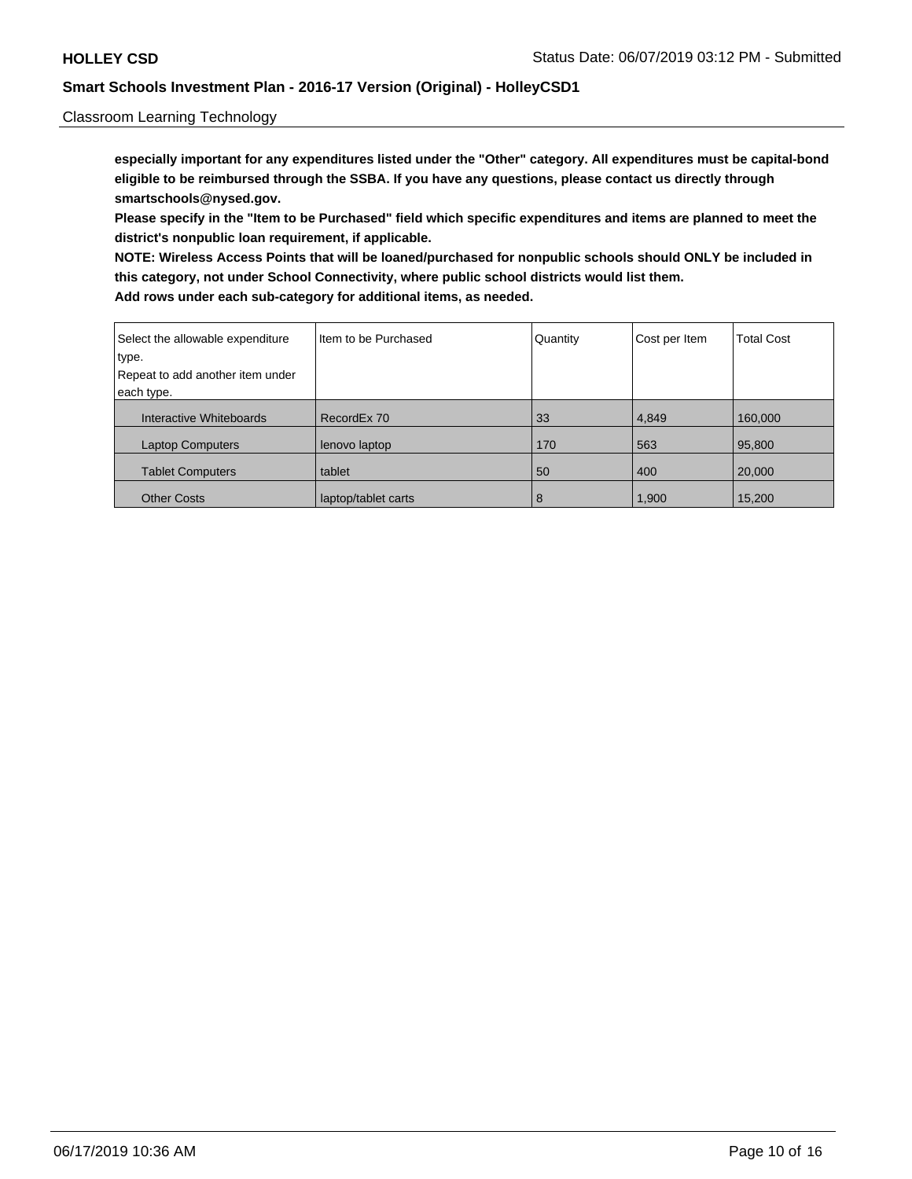### Classroom Learning Technology

**especially important for any expenditures listed under the "Other" category. All expenditures must be capital-bond eligible to be reimbursed through the SSBA. If you have any questions, please contact us directly through smartschools@nysed.gov.**

**Please specify in the "Item to be Purchased" field which specific expenditures and items are planned to meet the district's nonpublic loan requirement, if applicable.**

**NOTE: Wireless Access Points that will be loaned/purchased for nonpublic schools should ONLY be included in this category, not under School Connectivity, where public school districts would list them. Add rows under each sub-category for additional items, as needed.**

| Select the allowable expenditure | I Item to be Purchased | Quantity | Cost per Item | <b>Total Cost</b> |
|----------------------------------|------------------------|----------|---------------|-------------------|
| type.                            |                        |          |               |                   |
| Repeat to add another item under |                        |          |               |                   |
| each type.                       |                        |          |               |                   |
| Interactive Whiteboards          | RecordEx 70            | 33       | 4,849         | 160,000           |
| <b>Laptop Computers</b>          | lenovo laptop          | 170      | 563           | 95,800            |
| <b>Tablet Computers</b>          | tablet                 | 50       | 400           | 20,000            |
| <b>Other Costs</b>               | laptop/tablet carts    | 8        | 1,900         | 15,200            |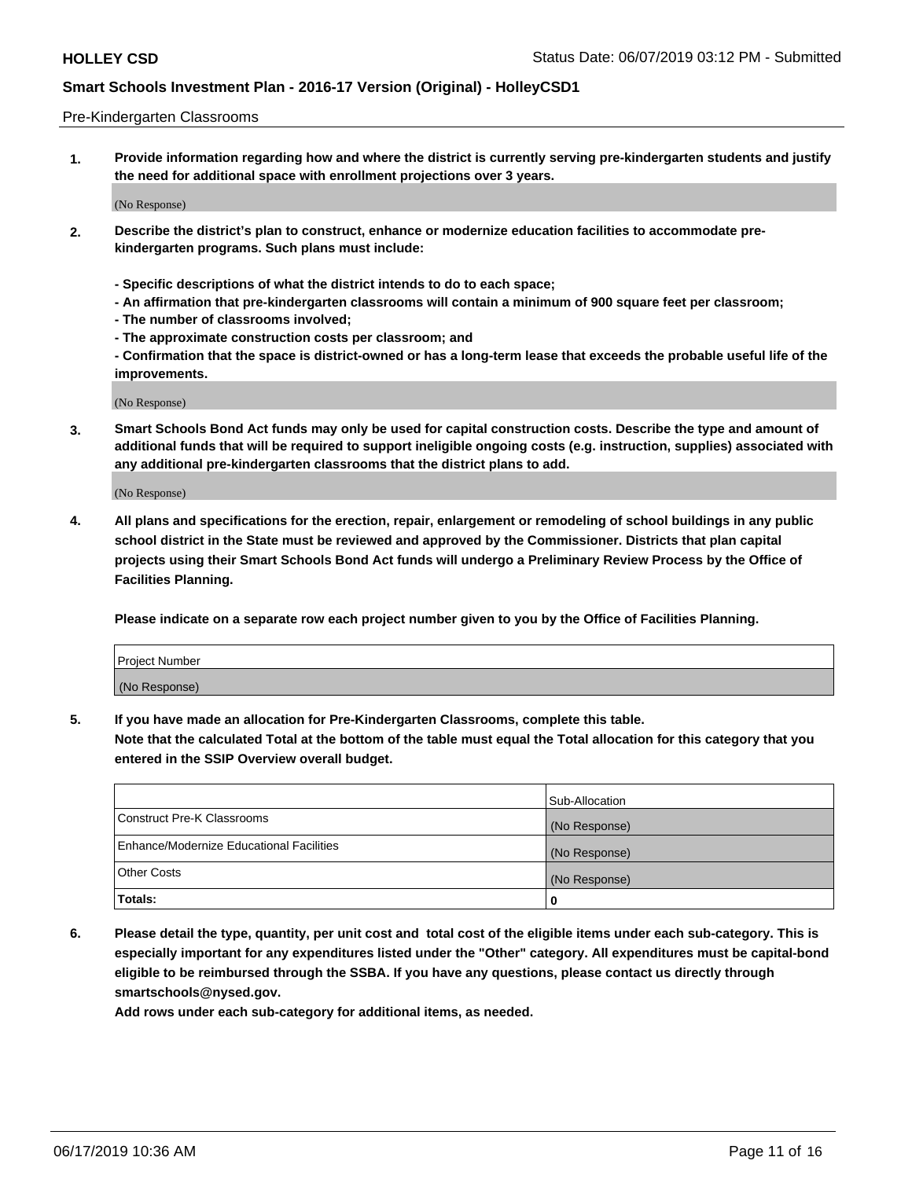#### Pre-Kindergarten Classrooms

**1. Provide information regarding how and where the district is currently serving pre-kindergarten students and justify the need for additional space with enrollment projections over 3 years.**

(No Response)

- **2. Describe the district's plan to construct, enhance or modernize education facilities to accommodate prekindergarten programs. Such plans must include:**
	- **Specific descriptions of what the district intends to do to each space;**
	- **An affirmation that pre-kindergarten classrooms will contain a minimum of 900 square feet per classroom;**
	- **The number of classrooms involved;**
	- **The approximate construction costs per classroom; and**
	- **Confirmation that the space is district-owned or has a long-term lease that exceeds the probable useful life of the improvements.**

(No Response)

**3. Smart Schools Bond Act funds may only be used for capital construction costs. Describe the type and amount of additional funds that will be required to support ineligible ongoing costs (e.g. instruction, supplies) associated with any additional pre-kindergarten classrooms that the district plans to add.**

(No Response)

**4. All plans and specifications for the erection, repair, enlargement or remodeling of school buildings in any public school district in the State must be reviewed and approved by the Commissioner. Districts that plan capital projects using their Smart Schools Bond Act funds will undergo a Preliminary Review Process by the Office of Facilities Planning.**

**Please indicate on a separate row each project number given to you by the Office of Facilities Planning.**

| Project Number |  |
|----------------|--|
| (No Response)  |  |
|                |  |

**5. If you have made an allocation for Pre-Kindergarten Classrooms, complete this table.**

**Note that the calculated Total at the bottom of the table must equal the Total allocation for this category that you entered in the SSIP Overview overall budget.**

|                                          | Sub-Allocation |
|------------------------------------------|----------------|
| Construct Pre-K Classrooms               | (No Response)  |
| Enhance/Modernize Educational Facilities | (No Response)  |
| <b>Other Costs</b>                       | (No Response)  |
| Totals:                                  | 0              |

**6. Please detail the type, quantity, per unit cost and total cost of the eligible items under each sub-category. This is especially important for any expenditures listed under the "Other" category. All expenditures must be capital-bond eligible to be reimbursed through the SSBA. If you have any questions, please contact us directly through smartschools@nysed.gov.**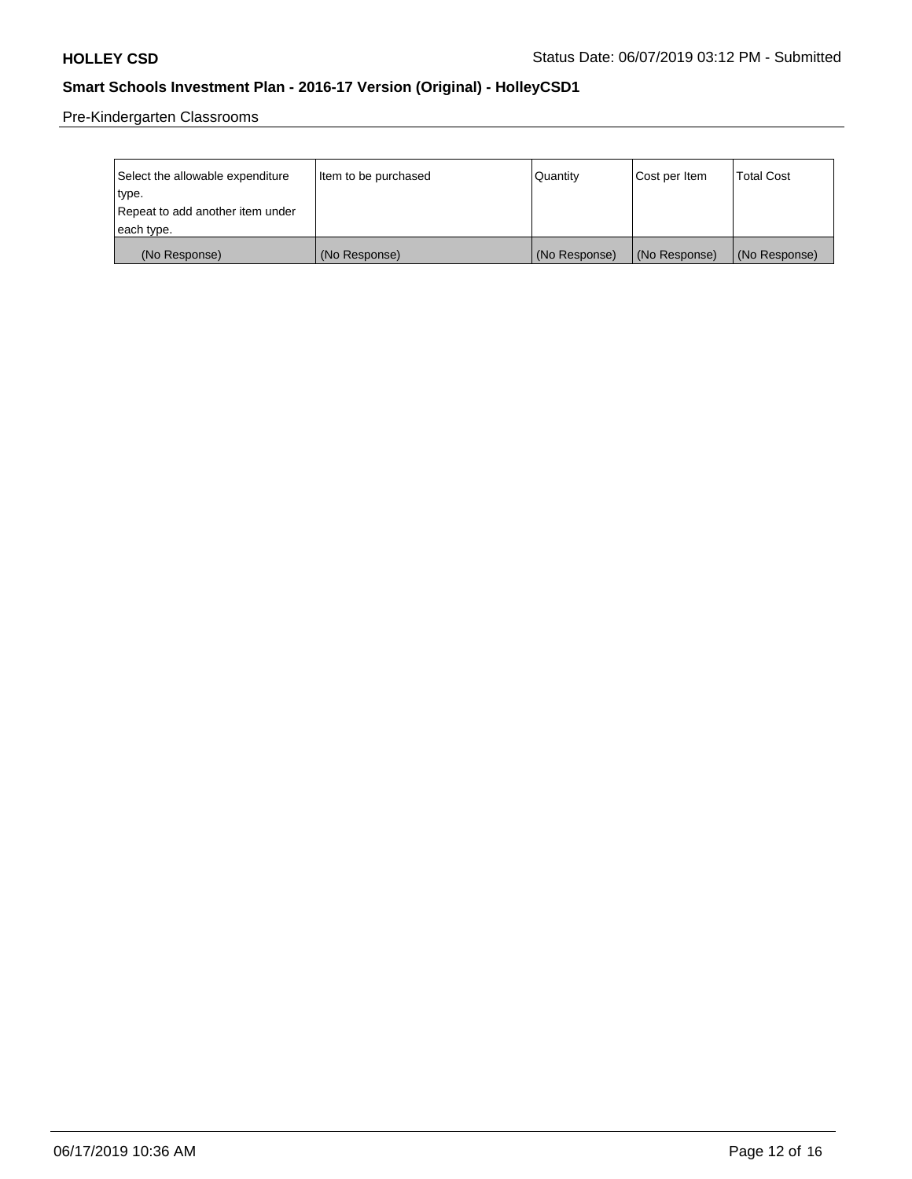Pre-Kindergarten Classrooms

| Select the allowable expenditure | Item to be purchased | Quantity      | Cost per Item | <b>Total Cost</b> |
|----------------------------------|----------------------|---------------|---------------|-------------------|
| type.                            |                      |               |               |                   |
| Repeat to add another item under |                      |               |               |                   |
| each type.                       |                      |               |               |                   |
| (No Response)                    | (No Response)        | (No Response) | (No Response) | (No Response)     |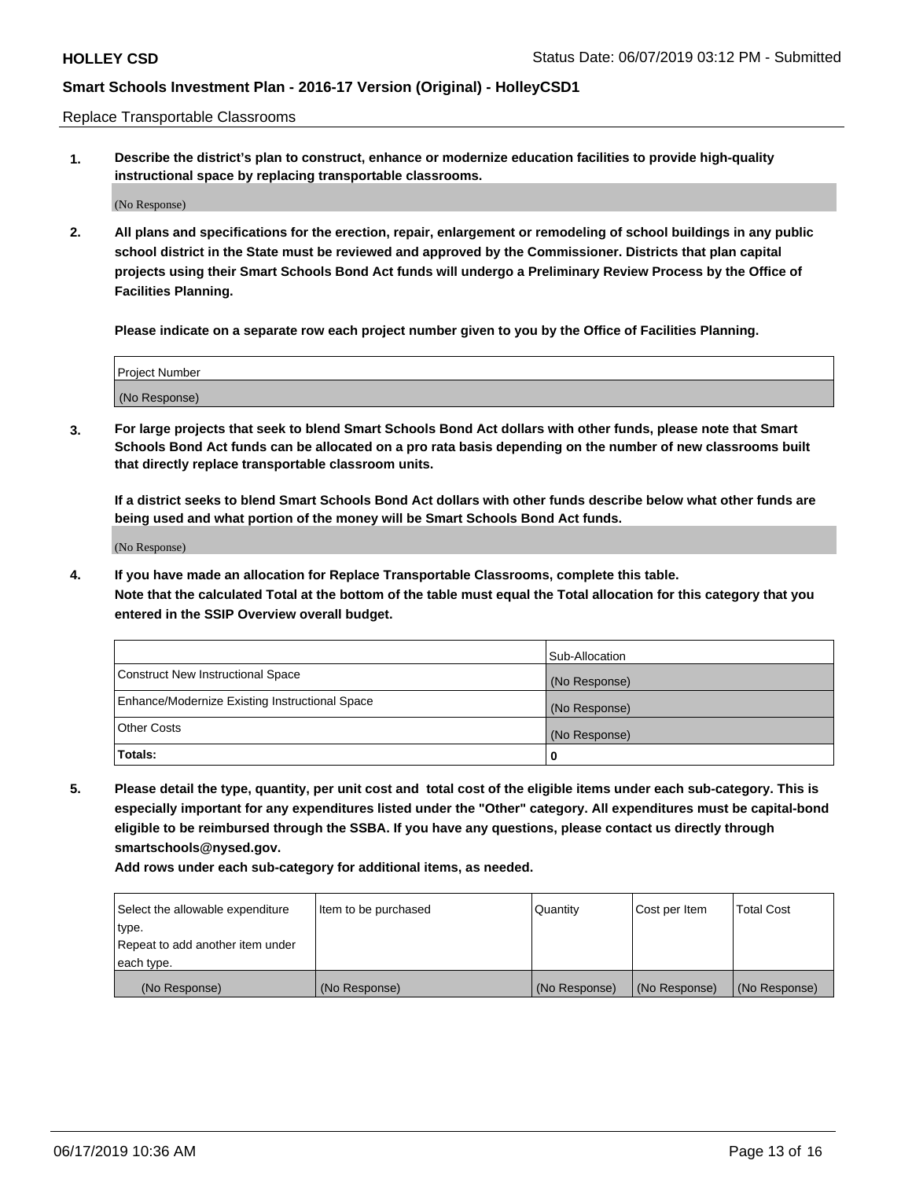Replace Transportable Classrooms

**1. Describe the district's plan to construct, enhance or modernize education facilities to provide high-quality instructional space by replacing transportable classrooms.**

(No Response)

**2. All plans and specifications for the erection, repair, enlargement or remodeling of school buildings in any public school district in the State must be reviewed and approved by the Commissioner. Districts that plan capital projects using their Smart Schools Bond Act funds will undergo a Preliminary Review Process by the Office of Facilities Planning.**

**Please indicate on a separate row each project number given to you by the Office of Facilities Planning.**

| Project Number |  |
|----------------|--|
|                |  |
|                |  |
|                |  |
|                |  |
| (No Response)  |  |
|                |  |
|                |  |
|                |  |

**3. For large projects that seek to blend Smart Schools Bond Act dollars with other funds, please note that Smart Schools Bond Act funds can be allocated on a pro rata basis depending on the number of new classrooms built that directly replace transportable classroom units.**

**If a district seeks to blend Smart Schools Bond Act dollars with other funds describe below what other funds are being used and what portion of the money will be Smart Schools Bond Act funds.**

(No Response)

**4. If you have made an allocation for Replace Transportable Classrooms, complete this table. Note that the calculated Total at the bottom of the table must equal the Total allocation for this category that you entered in the SSIP Overview overall budget.**

|                                                | Sub-Allocation |
|------------------------------------------------|----------------|
| Construct New Instructional Space              | (No Response)  |
| Enhance/Modernize Existing Instructional Space | (No Response)  |
| <b>Other Costs</b>                             | (No Response)  |
| Totals:                                        | 0              |

**5. Please detail the type, quantity, per unit cost and total cost of the eligible items under each sub-category. This is especially important for any expenditures listed under the "Other" category. All expenditures must be capital-bond eligible to be reimbursed through the SSBA. If you have any questions, please contact us directly through smartschools@nysed.gov.**

| Select the allowable expenditure | Item to be purchased | l Quantitv    | Cost per Item | <b>Total Cost</b> |
|----------------------------------|----------------------|---------------|---------------|-------------------|
| type.                            |                      |               |               |                   |
| Repeat to add another item under |                      |               |               |                   |
| each type.                       |                      |               |               |                   |
| (No Response)                    | (No Response)        | (No Response) | (No Response) | (No Response)     |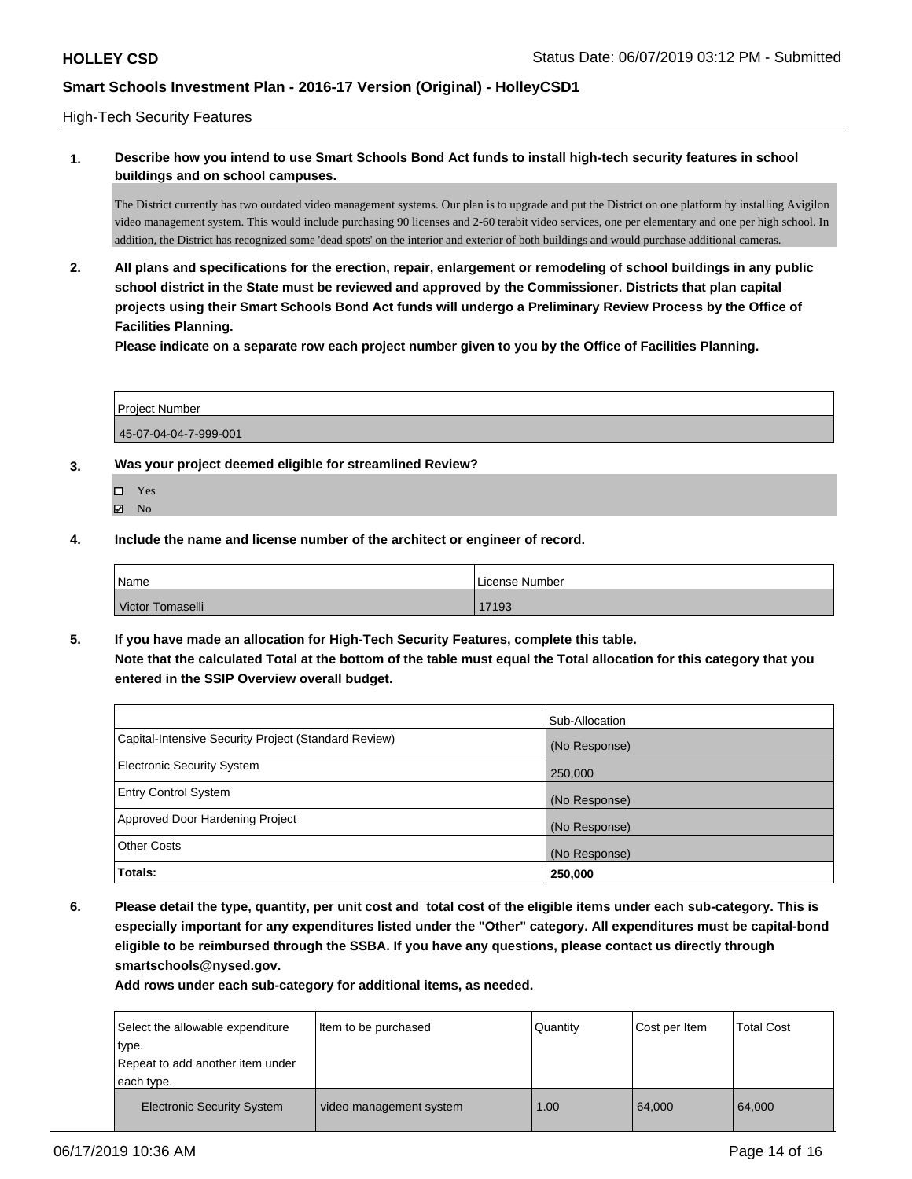High-Tech Security Features

## **1. Describe how you intend to use Smart Schools Bond Act funds to install high-tech security features in school buildings and on school campuses.**

The District currently has two outdated video management systems. Our plan is to upgrade and put the District on one platform by installing Avigilon video management system. This would include purchasing 90 licenses and 2-60 terabit video services, one per elementary and one per high school. In addition, the District has recognized some 'dead spots' on the interior and exterior of both buildings and would purchase additional cameras.

**2. All plans and specifications for the erection, repair, enlargement or remodeling of school buildings in any public school district in the State must be reviewed and approved by the Commissioner. Districts that plan capital projects using their Smart Schools Bond Act funds will undergo a Preliminary Review Process by the Office of Facilities Planning.** 

**Please indicate on a separate row each project number given to you by the Office of Facilities Planning.**

Project Number 45-07-04-04-7-999-001

- **3. Was your project deemed eligible for streamlined Review?**
	- □ Yes
	- $\boxtimes$  No
- **4. Include the name and license number of the architect or engineer of record.**

| Name             | License Number |
|------------------|----------------|
| Victor Tomaselli | 17193          |

**5. If you have made an allocation for High-Tech Security Features, complete this table. Note that the calculated Total at the bottom of the table must equal the Total allocation for this category that you entered in the SSIP Overview overall budget.**

|                                                      | Sub-Allocation |
|------------------------------------------------------|----------------|
| Capital-Intensive Security Project (Standard Review) | (No Response)  |
| <b>Electronic Security System</b>                    | 250,000        |
| <b>Entry Control System</b>                          | (No Response)  |
| Approved Door Hardening Project                      | (No Response)  |
| <b>Other Costs</b>                                   | (No Response)  |
| Totals:                                              | 250,000        |

**6. Please detail the type, quantity, per unit cost and total cost of the eligible items under each sub-category. This is especially important for any expenditures listed under the "Other" category. All expenditures must be capital-bond eligible to be reimbursed through the SSBA. If you have any questions, please contact us directly through smartschools@nysed.gov.**

|        | Select the allowable expenditure  | Item to be purchased    | Quantity | Cost per Item | <b>Total Cost</b> |
|--------|-----------------------------------|-------------------------|----------|---------------|-------------------|
| 'type. |                                   |                         |          |               |                   |
|        | Repeat to add another item under  |                         |          |               |                   |
|        | each type.                        |                         |          |               |                   |
|        | <b>Electronic Security System</b> | video management system | 1.00     | 64,000        | 64,000            |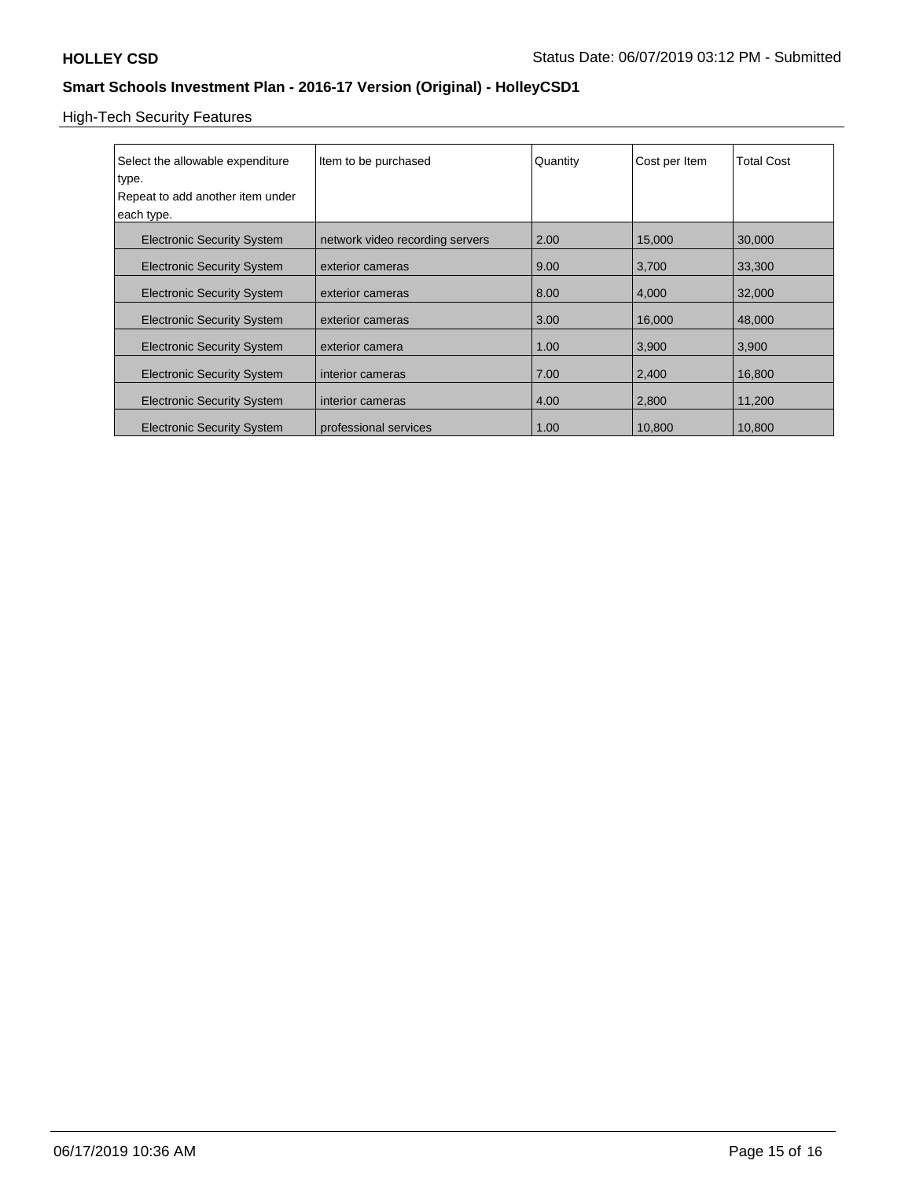# High-Tech Security Features

| Select the allowable expenditure<br>type.<br>Repeat to add another item under<br>each type. | Item to be purchased            | Quantity | Cost per Item | <b>Total Cost</b> |
|---------------------------------------------------------------------------------------------|---------------------------------|----------|---------------|-------------------|
| <b>Electronic Security System</b>                                                           | network video recording servers | 2.00     | 15,000        | 30,000            |
| <b>Electronic Security System</b>                                                           | exterior cameras                | 9.00     | 3,700         | 33,300            |
| <b>Electronic Security System</b>                                                           | exterior cameras                | 8.00     | 4,000         | 32,000            |
| <b>Electronic Security System</b>                                                           | exterior cameras                | 3.00     | 16,000        | 48,000            |
| <b>Electronic Security System</b>                                                           | exterior camera                 | 1.00     | 3,900         | 3,900             |
| <b>Electronic Security System</b>                                                           | interior cameras                | 7.00     | 2,400         | 16,800            |
| <b>Electronic Security System</b>                                                           | interior cameras                | 4.00     | 2,800         | 11,200            |
| <b>Electronic Security System</b>                                                           | professional services           | 1.00     | 10,800        | 10,800            |